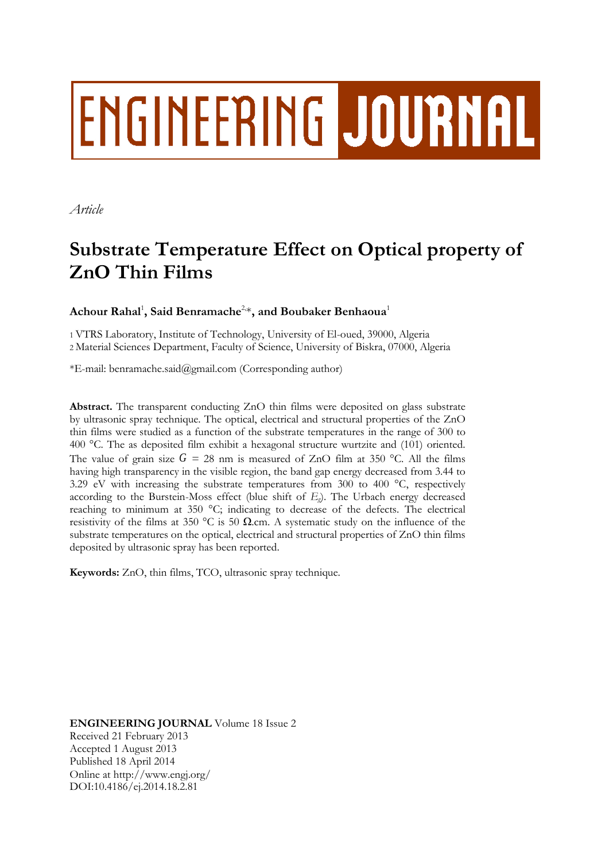# **ENGINEERING JOURNAL**

*Article*

## **Substrate Temperature Effect on Optical property of ZnO Thin Films**

### **Achour Rahal**<sup>1</sup> **, Said Benramache**2,\***, and Boubaker Benhaoua**<sup>1</sup>

1 VTRS Laboratory, Institute of Technology, University of El-oued, 39000, Algeria 2 Material Sciences Department, Faculty of Science, University of Biskra, 07000, Algeria

\*E-mail: benramache.said@gmail.com (Corresponding author)

**Abstract.** The transparent conducting ZnO thin films were deposited on glass substrate by ultrasonic spray technique. The optical, electrical and structural properties of the ZnO thin films were studied as a function of the substrate temperatures in the range of 300 to 400 °C. The as deposited film exhibit a hexagonal structure wurtzite and (101) oriented. The value of grain size  $G = 28$  nm is measured of ZnO film at 350 °C. All the films having high transparency in the visible region, the band gap energy decreased from 3.44 to 3.29 eV with increasing the substrate temperatures from 300 to 400  $^{\circ}$ C, respectively according to the Burstein-Moss effect (blue shift of  $E_g$ ). The Urbach energy decreased reaching to minimum at 350 °C; indicating to decrease of the defects. The electrical resistivity of the films at 350 °C is 50  $\Omega$  cm. A systematic study on the influence of the substrate temperatures on the optical, electrical and structural properties of ZnO thin films deposited by ultrasonic spray has been reported.

**Keywords:** ZnO, thin films, TCO, ultrasonic spray technique.

**ENGINEERING JOURNAL** Volume 18 Issue 2 Received 21 February 2013 Accepted 1 August 2013 Published 18 April 2014 Online at http://www.engj.org/ DOI:10.4186/ej.2014.18.2.81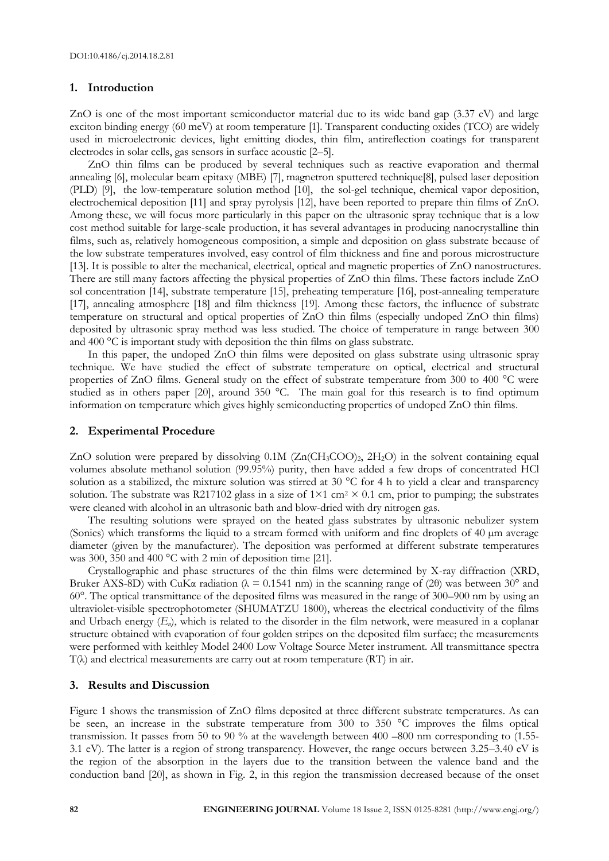#### **1. Introduction**

ZnO is one of the most important semiconductor material due to its wide band gap (3.37 eV) and large exciton binding energy (60 meV) at room temperature [1]. Transparent conducting oxides (TCO) are widely used in microelectronic devices, light emitting diodes, thin film, antireflection coatings for transparent electrodes in solar cells, gas sensors in surface acoustic [2–5].

ZnO thin films can be produced by several techniques such as reactive evaporation and thermal annealing [6], molecular beam epitaxy (MBE) [7], magnetron sputtered technique[8], pulsed laser deposition (PLD) [9], the low-temperature solution method [10], the sol-gel technique, chemical vapor deposition, electrochemical deposition [11] and spray pyrolysis [12], have been reported to prepare thin films of ZnO. Among these, we will focus more particularly in this paper on the ultrasonic spray technique that is a low cost method suitable for large-scale production, it has several advantages in producing nanocrystalline thin films, such as, relatively homogeneous composition, a simple and deposition on glass substrate because of the low substrate temperatures involved, easy control of film thickness and fine and porous microstructure [13]. It is possible to alter the mechanical, electrical, optical and magnetic properties of ZnO nanostructures. There are still many factors affecting the physical properties of ZnO thin films. These factors include ZnO sol concentration [14], substrate temperature [15], preheating temperature [16], post-annealing temperature [17], annealing atmosphere [18] and film thickness [19]. Among these factors, the influence of substrate temperature on structural and optical properties of ZnO thin films (especially undoped ZnO thin films) deposited by ultrasonic spray method was less studied. The choice of temperature in range between 300 and 400 °C is important study with deposition the thin films on glass substrate.

In this paper, the undoped ZnO thin films were deposited on glass substrate using ultrasonic spray technique. We have studied the effect of substrate temperature on optical, electrical and structural properties of ZnO films. General study on the effect of substrate temperature from 300 to 400 °C were studied as in others paper [20], around 350 °C. The main goal for this research is to find optimum information on temperature which gives highly semiconducting properties of undoped ZnO thin films.

#### **2. Experimental Procedure**

ZnO solution were prepared by dissolving 0.1M (Zn(CH<sub>3</sub>COO)<sub>2</sub>, 2H<sub>2</sub>O) in the solvent containing equal volumes absolute methanol solution (99.95%) purity, then have added a few drops of concentrated HCl solution as a stabilized, the mixture solution was stirred at 30 °C for 4 h to yield a clear and transparency solution. The substrate was R217102 glass in a size of  $1\times1$  cm<sup>2</sup> × 0.1 cm, prior to pumping; the substrates were cleaned with alcohol in an ultrasonic bath and blow-dried with dry nitrogen gas.

The resulting solutions were sprayed on the heated glass substrates by ultrasonic nebulizer system (Sonics) which transforms the liquid to a stream formed with uniform and fine droplets of 40 µm average diameter (given by the manufacturer). The deposition was performed at different substrate temperatures was 300, 350 and 400 °C with 2 min of deposition time [21].

Crystallographic and phase structures of the thin films were determined by X-ray diffraction (XRD, Bruker AXS-8D) with CuK $\alpha$  radiation ( $\lambda = 0.1541$  nm) in the scanning range of (20) was between 30° and 60°. The optical transmittance of the deposited films was measured in the range of 300–900 nm by using an ultraviolet-visible spectrophotometer (SHUMATZU 1800), whereas the electrical conductivity of the films and Urbach energy (*Eu*), which is related to the disorder in the film network, were measured in a coplanar structure obtained with evaporation of four golden stripes on the deposited film surface; the measurements were performed with keithley Model 2400 Low Voltage Source Meter instrument. All transmittance spectra  $T(\lambda)$  and electrical measurements are carry out at room temperature (RT) in air.

#### **3. Results and Discussion**

Figure 1 shows the transmission of ZnO films deposited at three different substrate temperatures. As can be seen, an increase in the substrate temperature from 300 to 350 °C improves the films optical transmission. It passes from 50 to 90 % at the wavelength between 400 –800 nm corresponding to (1.55- 3.1 eV). The latter is a region of strong transparency. However, the range occurs between 3.25–3.40 eV is the region of the absorption in the layers due to the transition between the valence band and the conduction band [20], as shown in Fig. 2, in this region the transmission decreased because of the onset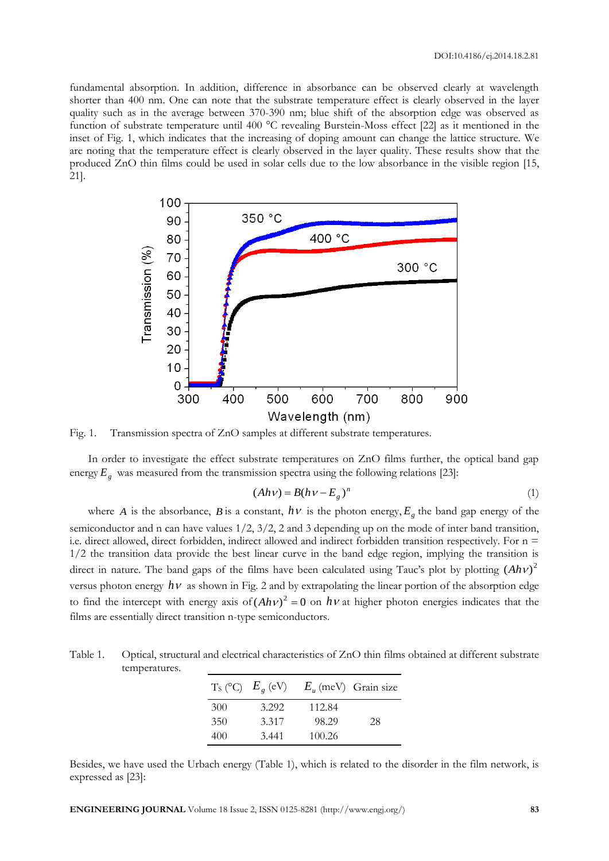fundamental absorption. In addition, difference in absorbance can be observed clearly at wavelength shorter than 400 nm. One can note that the substrate temperature effect is clearly observed in the layer quality such as in the average between 370-390 nm; blue shift of the absorption edge was observed as function of substrate temperature until 400 °C revealing Burstein-Moss effect [22] as it mentioned in the inset of Fig. 1, which indicates that the increasing of doping amount can change the lattice structure. We are noting that the temperature effect is clearly observed in the layer quality. These results show that the produced ZnO thin films could be used in solar cells due to the low absorbance in the visible region [15, 21].



Fig. 1. Transmission spectra of ZnO samples at different substrate temperatures.

In order to investigate the effect substrate temperatures on ZnO films further, the optical band gap energy  $E<sub>g</sub>$  was measured from the transmission spectra using the following relations [23]:

$$
(Ahv) = B(hv - E_g)^n
$$
\n<sup>(1)</sup>

where A is the absorbance, B is a constant,  $h\nu$  is the photon energy,  $E_g$  the band gap energy of the semiconductor and n can have values  $1/2$ ,  $3/2$ , 2 and 3 depending up on the mode of inter band transition, i.e. direct allowed, direct forbidden, indirect allowed and indirect forbidden transition respectively. For n = 1/2 the transition data provide the best linear curve in the band edge region, implying the transition is direct in nature. The band gaps of the films have been calculated using Tauc's plot by plotting  $(Ah\nu)^2$ versus photon energy  $h\nu$  as shown in Fig. 2 and by extrapolating the linear portion of the absorption edge to find the intercept with energy axis of  $(Ah\nu)^2 = 0$  on  $h\nu$  at higher photon energies indicates that the films are essentially direct transition n-type semiconductors.

Table 1. Optical, structural and electrical characteristics of ZnO thin films obtained at different substrate temperatures.

|     | $T_S$ (°C) $E_\varphi$ (eV) |        | $E_u$ (meV) Grain size |
|-----|-----------------------------|--------|------------------------|
| 300 | 3.292                       | 112.84 |                        |
| 350 | 3.317                       | 98.29  | 28                     |
| 400 | 3.441                       | 100.26 |                        |

Besides, we have used the Urbach energy (Table 1), which is related to the disorder in the film network, is expressed as [23]: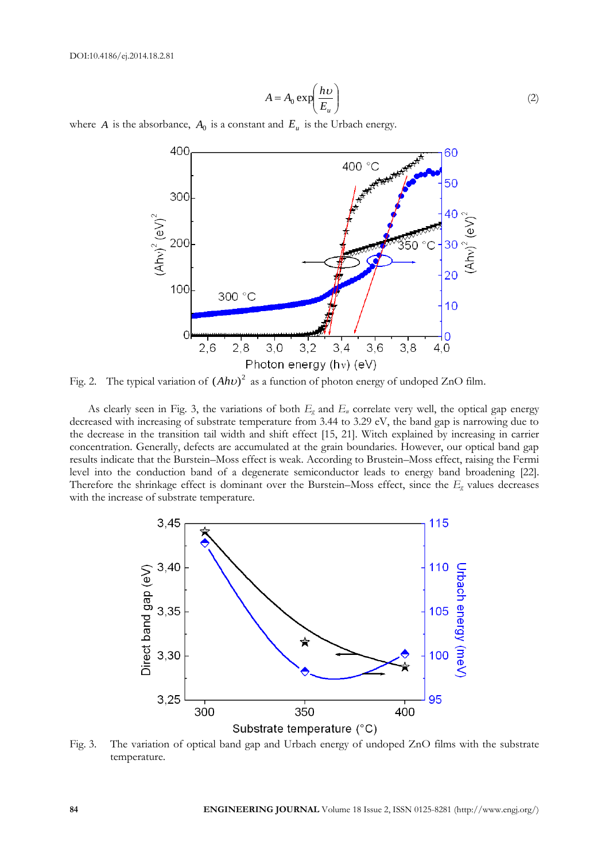$$
A = A_0 \exp\left(\frac{h\upsilon}{E_u}\right) \tag{2}
$$

where *A* is the absorbance,  $A_0$  is a constant and  $E_u$  is the Urbach energy.



Fig. 2. The typical variation of  $(Ah\nu)^2$  as a function of photon energy of undoped ZnO film.

As clearly seen in Fig. 3, the variations of both  $E<sub>g</sub>$  and  $E<sub>u</sub>$  correlate very well, the optical gap energy decreased with increasing of substrate temperature from 3.44 to 3.29 eV, the band gap is narrowing due to the decrease in the transition tail width and shift effect [15, 21]. Witch explained by increasing in carrier concentration. Generally, defects are accumulated at the grain boundaries. However, our optical band gap results indicate that the Burstein–Moss effect is weak. According to Brustein–Moss effect, raising the Fermi level into the conduction band of a degenerate semiconductor leads to energy band broadening [22]. Therefore the shrinkage effect is dominant over the Burstein–Moss effect, since the *E<sup>g</sup>* values decreases with the increase of substrate temperature.



Fig. 3. The variation of optical band gap and Urbach energy of undoped ZnO films with the substrate temperature.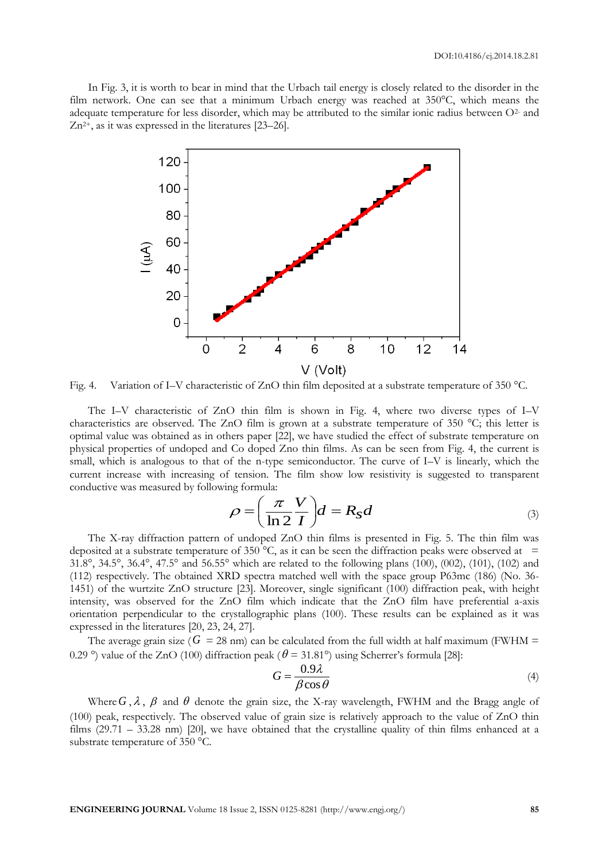In Fig. 3, it is worth to bear in mind that the Urbach tail energy is closely related to the disorder in the film network. One can see that a minimum Urbach energy was reached at 350°C, which means the adequate temperature for less disorder, which may be attributed to the similar ionic radius between  $O<sup>2</sup>$  and  $Zn^{2+}$ , as it was expressed in the literatures [23–26].



Fig. 4. Variation of I–V characteristic of ZnO thin film deposited at a substrate temperature of 350 °C.

The I–V characteristic of ZnO thin film is shown in Fig. 4, where two diverse types of I–V characteristics are observed. The ZnO film is grown at a substrate temperature of 350 °C; this letter is optimal value was obtained as in others paper [22], we have studied the effect of substrate temperature on physical properties of undoped and Co doped Zno thin films. As can be seen from Fig. 4, the current is small, which is analogous to that of the n-type semiconductor. The curve of I–V is linearly, which the current increase with increasing of tension. The film show low resistivity is suggested to transparent conductive was measured by following formula:

$$
\rho = \left(\frac{\pi}{\ln 2} \frac{V}{I}\right) d = R_S d \tag{3}
$$

The X-ray diffraction pattern of undoped ZnO thin films is presented in Fig. 5. The thin film was deposited at a substrate temperature of 350 °C, as it can be seen the diffraction peaks were observed at  $=$ 31.8°, 34.5°, 36.4°, 47.5° and 56.55° which are related to the following plans (100), (002), (101), (102) and (112) respectively. The obtained XRD spectra matched well with the space group P63mc (186) (No. 36- 1451) of the wurtzite ZnO structure [23]. Moreover, single significant (100) diffraction peak, with height intensity, was observed for the ZnO film which indicate that the ZnO film have preferential a-axis orientation perpendicular to the crystallographic plans (100). These results can be explained as it was expressed in the literatures [20, 23, 24, 27].

The average grain size  $(G = 28 \text{ nm})$  can be calculated from the full width at half maximum (FWHM = 0.29 °) value of the ZnO (100) diffraction peak ( $\theta$  = 31.81°) using Scherrer's formula [28]:

$$
G = \frac{0.9\lambda}{\beta \cos \theta} \tag{4}
$$

Where  $G$  ,  $\lambda$  ,  $\beta$  and  $\theta$  denote the grain size, the X-ray wavelength, FWHM and the Bragg angle of (100) peak, respectively. The observed value of grain size is relatively approach to the value of ZnO thin films (29.71 – 33.28 nm) [20], we have obtained that the crystalline quality of thin films enhanced at a substrate temperature of 350 °C.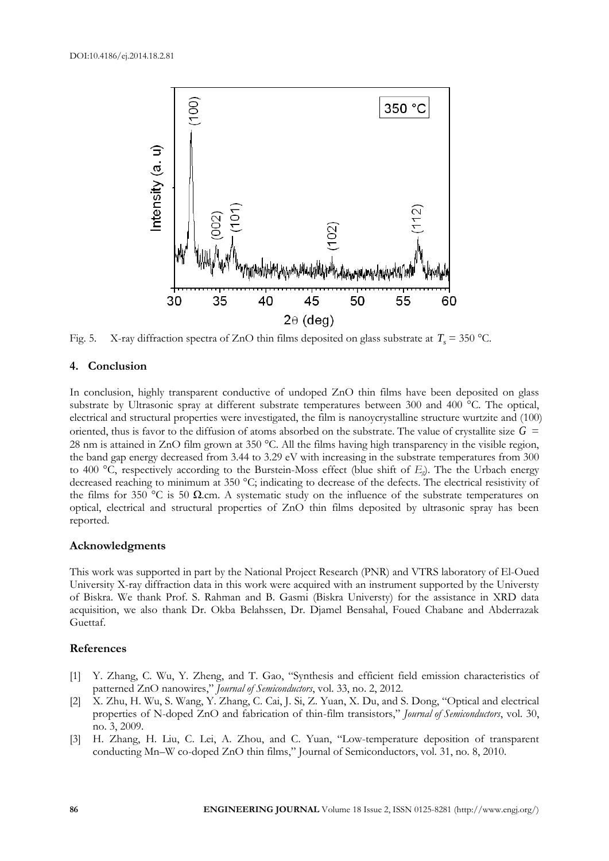

Fig. 5. X-ray diffraction spectra of ZnO thin films deposited on glass substrate at  $T_s = 350$  °C.

#### **4. Conclusion**

In conclusion, highly transparent conductive of undoped ZnO thin films have been deposited on glass substrate by Ultrasonic spray at different substrate temperatures between 300 and 400 °C. The optical, electrical and structural properties were investigated, the film is nanoycrystalline structure wurtzite and (100) oriented, thus is favor to the diffusion of atoms absorbed on the substrate. The value of crystallite size  $G =$ 28 nm is attained in ZnO film grown at 350 °C. All the films having high transparency in the visible region, the band gap energy decreased from 3.44 to 3.29 eV with increasing in the substrate temperatures from 300 to 400 °C, respectively according to the Burstein-Moss effect (blue shift of *Eg*). The the Urbach energy decreased reaching to minimum at 350 °C; indicating to decrease of the defects. The electrical resistivity of the films for 350 °C is 50  $\Omega$ .cm. A systematic study on the influence of the substrate temperatures on optical, electrical and structural properties of ZnO thin films deposited by ultrasonic spray has been reported.

#### **Acknowledgments**

This work was supported in part by the National Project Research (PNR) and VTRS laboratory of El-Oued University X-ray diffraction data in this work were acquired with an instrument supported by the Universty of Biskra. We thank Prof. S. Rahman and B. Gasmi (Biskra Universty) for the assistance in XRD data acquisition, we also thank Dr. Okba Belahssen, Dr. Djamel Bensahal, Foued Chabane and Abderrazak Guettaf.

#### **References**

- [1] Y. Zhang, C. Wu, Y. Zheng, and T. Gao, "Synthesis and efficient field emission characteristics of patterned ZnO nanowires," *Journal of Semiconductors*, vol. 33, no. 2, 2012.
- [2] X. Zhu, H. Wu, S. Wang, Y. Zhang, C. Cai, J. Si, Z. Yuan, X. Du, and S. Dong, "Optical and electrical properties of N-doped ZnO and fabrication of thin-film transistors," *Journal of Semiconductors*, vol. 30, no. 3, 2009.
- [3] H. Zhang, H. Liu, C. Lei, A. Zhou, and C. Yuan, "Low-temperature deposition of transparent conducting Mn–W co-doped ZnO thin films," Journal of Semiconductors, vol. 31, no. 8, 2010.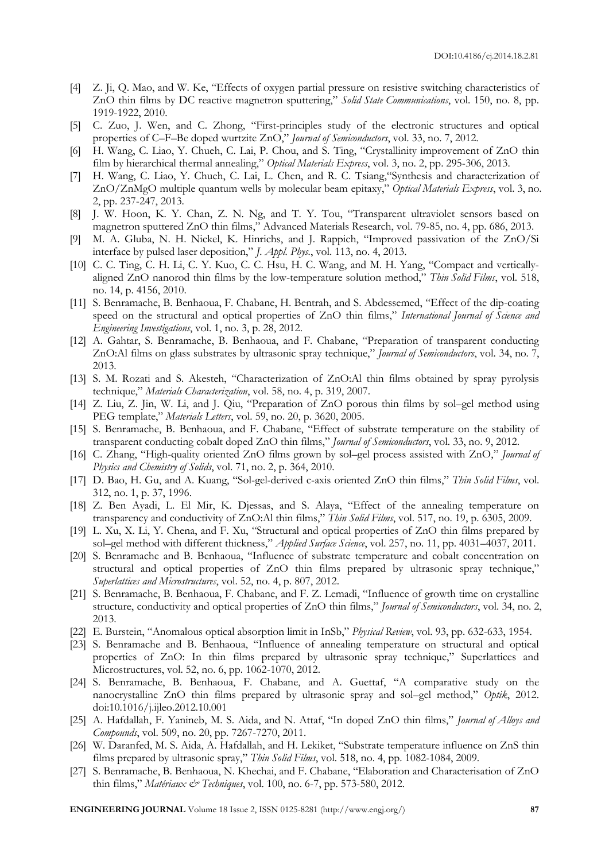- [4] Z. Ji, Q. Mao, and W. Ke, "Effects of oxygen partial pressure on resistive switching characteristics of ZnO thin films by DC reactive magnetron sputtering," *Solid State Communications*, vol. 150, no. 8, pp. 1919-1922, 2010.
- [5] C. Zuo, J. Wen, and C. Zhong, "First-principles study of the electronic structures and optical properties of C–F–Be doped wurtzite ZnO," *Journal of Semiconductors*, vol. 33, no. 7, 2012.
- [6] H. Wang, C. Liao, Y. Chueh, C. Lai, P. Chou, and S. Ting, "Crystallinity improvement of ZnO thin film by hierarchical thermal annealing," *Optical Materials Express*, vol. 3, no. 2, pp. 295-306, 2013.
- [7] H. Wang, C. Liao, Y. Chueh, C. Lai, L. Chen, and R. C. Tsiang,"Synthesis and characterization of ZnO/ZnMgO multiple quantum wells by molecular beam epitaxy," *Optical Materials Express*, vol. 3, no. 2, pp. 237-247, 2013.
- [8] J. W. Hoon, K. Y. Chan, Z. N. Ng, and T. Y. Tou, "Transparent ultraviolet sensors based on magnetron sputtered ZnO thin films," Advanced Materials Research, vol. 79-85, no. 4, pp. 686, 2013.
- [9] M. A. Gluba, N. H. Nickel, K. Hinrichs, and J. Rappich, "Improved passivation of the ZnO/Si interface by pulsed laser deposition," *J. Appl. Phys.*, vol. 113, no. 4, 2013.
- [10] C. C. Ting, C. H. Li, C. Y. Kuo, C. C. Hsu, H. C. Wang, and M. H. Yang, "Compact and verticallyaligned ZnO nanorod thin films by the low-temperature solution method," *Thin Solid Films*, vol. 518, no. 14, p. 4156, 2010.
- [11] S. Benramache, B. Benhaoua, F. Chabane, H. Bentrah, and S. Abdessemed, "Effect of the dip-coating speed on the structural and optical properties of ZnO thin films," *International Journal of Science and Engineering Investigations*, vol. 1, no. 3, p. 28, 2012.
- [12] A. Gahtar, S. Benramache, B. Benhaoua, and F. Chabane, "Preparation of transparent conducting ZnO:Al films on glass substrates by ultrasonic spray technique," *Journal of Semiconductors*, vol. 34, no. 7, 2013.
- [13] S. M. Rozati and S. Akesteh, "Characterization of ZnO:Al thin films obtained by spray pyrolysis technique," *Materials Characterization*, vol. 58, no. 4, p. 319, 2007.
- [14] Z. Liu, Z. Jin, W. Li, and J. Qiu, "Preparation of ZnO porous thin films by sol–gel method using PEG template," *Materials Letters*, vol. 59, no. 20, p. 3620, 2005.
- [15] S. Benramache, B. Benhaoua, and F. Chabane, "Effect of substrate temperature on the stability of transparent conducting cobalt doped ZnO thin films," *Journal of Semiconductors*, vol. 33, no. 9, 2012.
- [16] C. Zhang, "High-quality oriented ZnO films grown by sol–gel process assisted with ZnO," *Journal of Physics and Chemistry of Solids*, vol. 71, no. 2, p. 364, 2010.
- [17] D. Bao, H. Gu, and A. Kuang, "Sol-gel-derived c-axis oriented ZnO thin films," *Thin Solid Films*, vol. 312, no. 1, p. 37, 1996.
- [18] Z. Ben Ayadi, L. El Mir, K. Djessas, and S. Alaya, "Effect of the annealing temperature on transparency and conductivity of ZnO:Al thin films," *Thin Solid Films*, vol. 517, no. 19, p. 6305, 2009.
- [19] L. Xu, X. Li, Y. Chena, and F. Xu, "Structural and optical properties of ZnO thin films prepared by sol–gel method with different thickness," *Applied Surface Science*, vol. 257, no. 11, pp. 4031–4037, 2011.
- [20] S. Benramache and B. Benhaoua, "Influence of substrate temperature and cobalt concentration on structural and optical properties of ZnO thin films prepared by ultrasonic spray technique," *Superlattices and Microstructures*, vol. 52, no. 4, p. 807, 2012.
- [21] S. Benramache, B. Benhaoua, F. Chabane, and F. Z. Lemadi, "Influence of growth time on crystalline structure, conductivity and optical properties of ZnO thin films," *Journal of Semiconductors*, vol. 34, no. 2, 2013.
- [22] E. Burstein, "Anomalous optical absorption limit in InSb," *Physical Review*, vol. 93, pp. 632-633, 1954.
- [23] S. Benramache and B. Benhaoua, "Influence of annealing temperature on structural and optical properties of ZnO: In thin films prepared by ultrasonic spray technique," Superlattices and Microstructures, vol. 52, no. 6, pp. 1062-1070, 2012.
- [24] S. Benramache, B. Benhaoua, F. Chabane, and A. Guettaf, "A comparative study on the nanocrystalline ZnO thin films prepared by ultrasonic spray and sol–gel method," *Optik*, 2012. doi:10.1016/j.ijleo.2012.10.001
- [25] A. Hafdallah, F. Yanineb, M. S. Aida, and N. Attaf, "In doped ZnO thin films," *Journal of Alloys and Compounds*, vol. 509, no. 20, pp. 7267-7270, 2011.
- [26] W. Daranfed, M. S. Aida, A. Hafdallah, and H. Lekiket, "Substrate temperature influence on ZnS thin films prepared by ultrasonic spray," *Thin Solid Films*, vol. 518, no. 4, pp. 1082-1084, 2009.
- [27] S. Benramache, B. Benhaoua, N. Khechai, and F. Chabane, "Elaboration and Characterisation of ZnO thin films," *Matériaux & Techniques*, vol. 100, no. 6-7, pp. 573-580, 2012.

**ENGINEERING JOURNAL** Volume 18 Issue 2, ISSN 0125-8281 (http://www.engj.org/) **87**